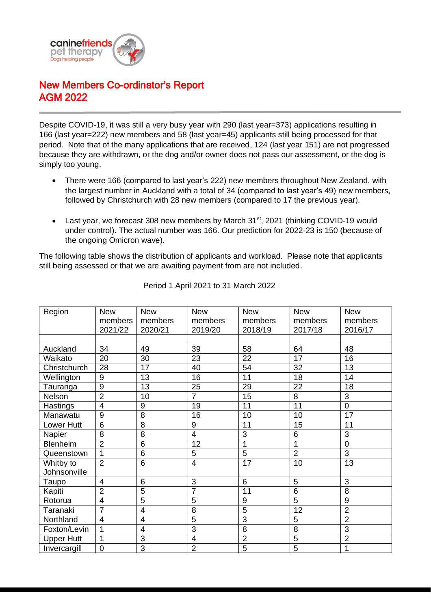

## New Members Co-ordinator's Report AGM 2022

Despite COVID-19, it was still a very busy year with 290 (last year=373) applications resulting in 166 (last year=222) new members and 58 (last year=45) applicants still being processed for that period. Note that of the many applications that are received, 124 (last year 151) are not progressed because they are withdrawn, or the dog and/or owner does not pass our assessment, or the dog is simply too young.

- There were 166 (compared to last year's 222) new members throughout New Zealand, with the largest number in Auckland with a total of 34 (compared to last year's 49) new members, followed by Christchurch with 28 new members (compared to 17 the previous year).
- Last year, we forecast 308 new members by March 31<sup>st</sup>, 2021 (thinking COVID-19 would under control). The actual number was 166. Our prediction for 2022-23 is 150 (because of the ongoing Omicron wave).

The following table shows the distribution of applicants and workload. Please note that applicants still being assessed or that we are awaiting payment from are not included.

| Region            | <b>New</b>     | <b>New</b>     | <b>New</b>              | <b>New</b>      | <b>New</b>      | <b>New</b>     |
|-------------------|----------------|----------------|-------------------------|-----------------|-----------------|----------------|
|                   | members        | members        | members                 | members         | members         | members        |
|                   | 2021/22        | 2020/21        | 2019/20                 | 2018/19         | 2017/18         | 2016/17        |
|                   |                |                |                         |                 |                 |                |
| Auckland          | 34             | 49             | 39                      | 58              | 64              | 48             |
| Waikato           | 20             | 30             | 23                      | 22              | 17              | 16             |
| Christchurch      | 28             | 17             | 40                      | 54              | 32              | 13             |
| Wellington        | 9              | 13             | 16                      | 11              | 18              | 14             |
| Tauranga          | 9              | 13             | 25                      | 29              | 22              | 18             |
| Nelson            | $\overline{2}$ | 10             | $\overline{7}$          | 15              | 8               | 3              |
| Hastings          | $\overline{4}$ | 9              | 19                      | 11              | 11              | $\overline{0}$ |
| Manawatu          | 9              | 8              | 16                      | 10              | 10              | 17             |
| Lower Hutt        | 6              | 8              | 9                       | 11              | 15              | 11             |
| Napier            | 8              | 8              | $\overline{4}$          | 3               | 6               | 3              |
| Blenheim          | $\overline{2}$ | $\overline{6}$ | 12                      | $\overline{1}$  | 1               | $\overline{0}$ |
| Queenstown        | 1              | 6              | 5                       | $\overline{5}$  | $\overline{2}$  | $\overline{3}$ |
| Whitby to         | $\overline{2}$ | 6              | $\overline{4}$          | 17              | 10              | 13             |
| Johnsonville      |                |                |                         |                 |                 |                |
| Taupo             | $\overline{4}$ | 6              | 3                       | $6\phantom{1}$  | 5               | 3              |
| Kapiti            | $\overline{2}$ | $\overline{5}$ | $\overline{7}$          | $\overline{11}$ | $6\phantom{1}6$ | 8              |
| Rotorua           | $\overline{4}$ | $\overline{5}$ | 5                       | 9               | 5               | 9              |
| Taranaki          | $\overline{7}$ | $\overline{4}$ | 8                       | 5               | 12              | $\overline{2}$ |
| Northland         | $\overline{4}$ | 4              | 5                       | 3               | 5               | $\overline{2}$ |
| Foxton/Levin      | 1              | $\overline{4}$ | 3                       | 8               | 8               | 3              |
| <b>Upper Hutt</b> | 1              | 3              | $\overline{\mathbf{4}}$ | $\overline{2}$  | $\overline{5}$  | $\overline{2}$ |
| Invercargill      | $\overline{0}$ | $\overline{3}$ | $\overline{2}$          | $\overline{5}$  | $\overline{5}$  | 1              |

Period 1 April 2021 to 31 March 2022